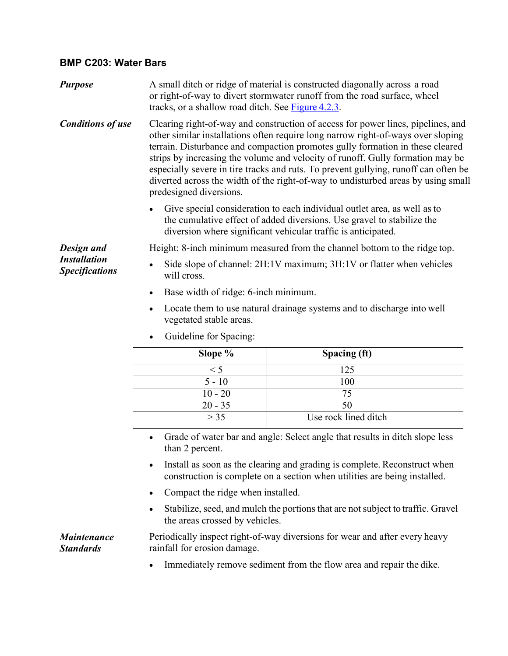## **BMP C203: Water Bars**

| <b>Purpose</b>                                             | A small ditch or ridge of material is constructed diagonally across a road<br>or right-of-way to divert stormwater runoff from the road surface, wheel<br>tracks, or a shallow road ditch. See Figure 4.2.3.                                                                                                                                                                                                                                                                                                                                   |                      |
|------------------------------------------------------------|------------------------------------------------------------------------------------------------------------------------------------------------------------------------------------------------------------------------------------------------------------------------------------------------------------------------------------------------------------------------------------------------------------------------------------------------------------------------------------------------------------------------------------------------|----------------------|
| <b>Conditions of use</b>                                   | Clearing right-of-way and construction of access for power lines, pipelines, and<br>other similar installations often require long narrow right-of-ways over sloping<br>terrain. Disturbance and compaction promotes gully formation in these cleared<br>strips by increasing the volume and velocity of runoff. Gully formation may be<br>especially severe in tire tracks and ruts. To prevent gullying, runoff can often be<br>diverted across the width of the right-of-way to undisturbed areas by using small<br>predesigned diversions. |                      |
|                                                            | Give special consideration to each individual outlet area, as well as to<br>the cumulative effect of added diversions. Use gravel to stabilize the<br>diversion where significant vehicular traffic is anticipated.                                                                                                                                                                                                                                                                                                                            |                      |
| Design and<br><b>Installation</b><br><b>Specifications</b> | Height: 8-inch minimum measured from the channel bottom to the ridge top.                                                                                                                                                                                                                                                                                                                                                                                                                                                                      |                      |
|                                                            | Side slope of channel: 2H:1V maximum; 3H:1V or flatter when vehicles<br>$\bullet$<br>will cross.                                                                                                                                                                                                                                                                                                                                                                                                                                               |                      |
|                                                            | Base width of ridge: 6-inch minimum.<br>$\bullet$                                                                                                                                                                                                                                                                                                                                                                                                                                                                                              |                      |
|                                                            | Locate them to use natural drainage systems and to discharge into well<br>$\bullet$<br>vegetated stable areas.                                                                                                                                                                                                                                                                                                                                                                                                                                 |                      |
|                                                            | Guideline for Spacing:                                                                                                                                                                                                                                                                                                                                                                                                                                                                                                                         |                      |
|                                                            | Slope %                                                                                                                                                                                                                                                                                                                                                                                                                                                                                                                                        | Spacing (ft)         |
|                                                            | < 5                                                                                                                                                                                                                                                                                                                                                                                                                                                                                                                                            | 125                  |
|                                                            | $5 - 10$                                                                                                                                                                                                                                                                                                                                                                                                                                                                                                                                       | 100                  |
|                                                            | $10 - 20$                                                                                                                                                                                                                                                                                                                                                                                                                                                                                                                                      | 75                   |
|                                                            | $20 - 35$                                                                                                                                                                                                                                                                                                                                                                                                                                                                                                                                      | 50                   |
|                                                            | > 35                                                                                                                                                                                                                                                                                                                                                                                                                                                                                                                                           | Use rock lined ditch |
|                                                            | Grade of water bar and angle: Select angle that results in ditch slope less<br>$\bullet$                                                                                                                                                                                                                                                                                                                                                                                                                                                       |                      |

- Grade of water bar and angle: Select angle that results in ditch slope less than 2 percent.
- Install as soon as the clearing and grading is complete. Reconstruct when construction is complete on a section when utilities are being installed.
- Compact the ridge when installed.
- Stabilize, seed, and mulch the portions that are not subject to traffic. Gravel the areas crossed by vehicles.

*Maintenance Standards*

Periodically inspect right-of-way diversions for wear and after every heavy rainfall for erosion damage.

Immediately remove sediment from the flow area and repair the dike.